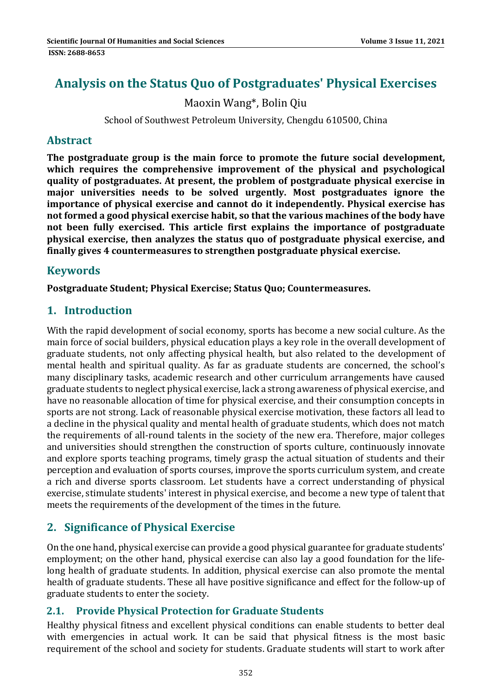# **Analysis on the Status Quo of Postgraduates' Physical Exercises**

Maoxin Wang\*, Bolin Qiu 

School of Southwest Petroleum University, Chengdu 610500, China

### **Abstract**

**The postgraduate group is the main force to promote the future social development, which requires the comprehensive improvement of the physical and psychological quality of postgraduates. At present, the problem of postgraduate physical exercise in major universities needs to be solved urgently. Most postgraduates ignore the importance of physical exercise and cannot do it independently. Physical exercise has not formed a good physical exercise habit, so that the various machines of the body have not been fully exercised. This article first explains the importance of postgraduate physical exercise, then analyzes the status quo of postgraduate physical exercise, and finally gives 4 countermeasures to strengthen postgraduate physical exercise.**

# **Keywords**

**Postgraduate Student; Physical Exercise; Status Quo; Countermeasures.**

# **1. Introduction**

With the rapid development of social economy, sports has become a new social culture. As the main force of social builders, physical education plays a key role in the overall development of graduate students, not only affecting physical health, but also related to the development of mental health and spiritual quality. As far as graduate students are concerned, the school's many disciplinary tasks, academic research and other curriculum arrangements have caused graduate students to neglect physical exercise, lack a strong awareness of physical exercise, and have no reasonable allocation of time for physical exercise, and their consumption concepts in sports are not strong. Lack of reasonable physical exercise motivation, these factors all lead to a decline in the physical quality and mental health of graduate students, which does not match the requirements of all-round talents in the society of the new era. Therefore, major colleges and universities should strengthen the construction of sports culture, continuously innovate and explore sports teaching programs, timely grasp the actual situation of students and their perception and evaluation of sports courses, improve the sports curriculum system, and create a rich and diverse sports classroom. Let students have a correct understanding of physical exercise, stimulate students' interest in physical exercise, and become a new type of talent that meets the requirements of the development of the times in the future.

# **2. Significance of Physical Exercise**

On the one hand, physical exercise can provide a good physical guarantee for graduate students' employment; on the other hand, physical exercise can also lay a good foundation for the lifelong health of graduate students. In addition, physical exercise can also promote the mental health of graduate students. These all have positive significance and effect for the follow-up of graduate students to enter the society.

# **2.1. Provide Physical Protection for Graduate Students**

Healthy physical fitness and excellent physical conditions can enable students to better deal with emergencies in actual work. It can be said that physical fitness is the most basic requirement of the school and society for students. Graduate students will start to work after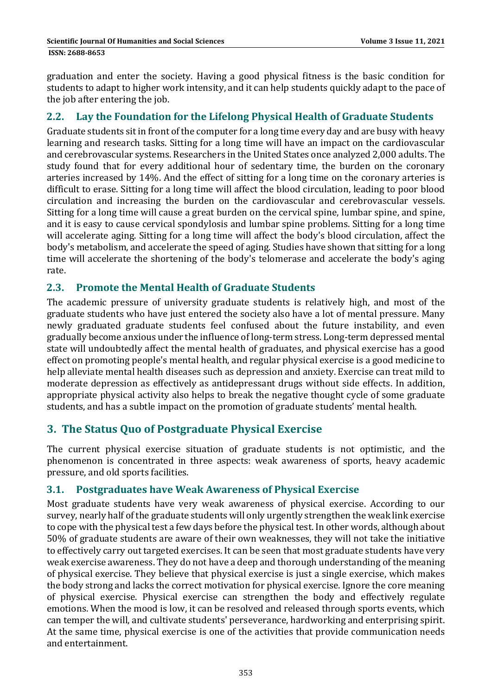graduation and enter the society. Having a good physical fitness is the basic condition for students to adapt to higher work intensity, and it can help students quickly adapt to the pace of the job after entering the job.

# **2.2. Lay the Foundation for the Lifelong Physical Health of Graduate Students**

Graduate students sit in front of the computer for a long time every day and are busy with heavy learning and research tasks. Sitting for a long time will have an impact on the cardiovascular and cerebrovascular systems. Researchers in the United States once analyzed 2,000 adults. The study found that for every additional hour of sedentary time, the burden on the coronary arteries increased by 14%. And the effect of sitting for a long time on the coronary arteries is difficult to erase. Sitting for a long time will affect the blood circulation, leading to poor blood circulation and increasing the burden on the cardiovascular and cerebrovascular vessels. Sitting for a long time will cause a great burden on the cervical spine, lumbar spine, and spine, and it is easy to cause cervical spondylosis and lumbar spine problems. Sitting for a long time will accelerate aging. Sitting for a long time will affect the body's blood circulation, affect the body's metabolism, and accelerate the speed of aging. Studies have shown that sitting for a long time will accelerate the shortening of the body's telomerase and accelerate the body's aging rate. 

### **2.3. Promote the Mental Health of Graduate Students**

The academic pressure of university graduate students is relatively high, and most of the graduate students who have just entered the society also have a lot of mental pressure. Many newly graduated graduate students feel confused about the future instability, and even gradually become anxious under the influence of long-term stress. Long-term depressed mental state will undoubtedly affect the mental health of graduates, and physical exercise has a good effect on promoting people's mental health, and regular physical exercise is a good medicine to help alleviate mental health diseases such as depression and anxiety. Exercise can treat mild to moderate depression as effectively as antidepressant drugs without side effects. In addition, appropriate physical activity also helps to break the negative thought cycle of some graduate students, and has a subtle impact on the promotion of graduate students' mental health.

# **3. The Status Quo of Postgraduate Physical Exercise**

The current physical exercise situation of graduate students is not optimistic, and the phenomenon is concentrated in three aspects: weak awareness of sports, heavy academic pressure, and old sports facilities.

#### **3.1. Postgraduates have Weak Awareness of Physical Exercise**

Most graduate students have very weak awareness of physical exercise. According to our survey, nearly half of the graduate students will only urgently strengthen the weak link exercise to cope with the physical test a few days before the physical test. In other words, although about 50% of graduate students are aware of their own weaknesses, they will not take the initiative to effectively carry out targeted exercises. It can be seen that most graduate students have very weak exercise awareness. They do not have a deep and thorough understanding of the meaning of physical exercise. They believe that physical exercise is just a single exercise, which makes the body strong and lacks the correct motivation for physical exercise. Ignore the core meaning of physical exercise. Physical exercise can strengthen the body and effectively regulate emotions. When the mood is low, it can be resolved and released through sports events, which can temper the will, and cultivate students' perseverance, hardworking and enterprising spirit. At the same time, physical exercise is one of the activities that provide communication needs and entertainment.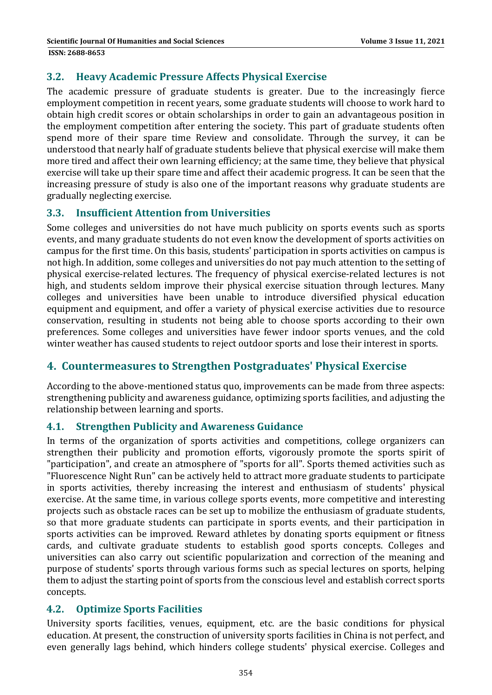### **3.2. Heavy Academic Pressure Affects Physical Exercise**

The academic pressure of graduate students is greater. Due to the increasingly fierce employment competition in recent years, some graduate students will choose to work hard to obtain high credit scores or obtain scholarships in order to gain an advantageous position in the employment competition after entering the society. This part of graduate students often spend more of their spare time Review and consolidate. Through the survey, it can be understood that nearly half of graduate students believe that physical exercise will make them more tired and affect their own learning efficiency; at the same time, they believe that physical exercise will take up their spare time and affect their academic progress. It can be seen that the increasing pressure of study is also one of the important reasons why graduate students are gradually neglecting exercise.

### **3.3. Insufficient Attention from Universities**

Some colleges and universities do not have much publicity on sports events such as sports events, and many graduate students do not even know the development of sports activities on campus for the first time. On this basis, students' participation in sports activities on campus is not high. In addition, some colleges and universities do not pay much attention to the setting of physical exercise-related lectures. The frequency of physical exercise-related lectures is not high, and students seldom improve their physical exercise situation through lectures. Many colleges and universities have been unable to introduce diversified physical education equipment and equipment, and offer a variety of physical exercise activities due to resource conservation, resulting in students not being able to choose sports according to their own preferences. Some colleges and universities have fewer indoor sports venues, and the cold winter weather has caused students to reject outdoor sports and lose their interest in sports.

# **4. Countermeasures to Strengthen Postgraduates' Physical Exercise**

According to the above-mentioned status quo, improvements can be made from three aspects: strengthening publicity and awareness guidance, optimizing sports facilities, and adjusting the relationship between learning and sports.

#### **4.1. Strengthen Publicity and Awareness Guidance**

In terms of the organization of sports activities and competitions, college organizers can strengthen their publicity and promotion efforts, vigorously promote the sports spirit of "participation", and create an atmosphere of "sports for all". Sports themed activities such as "Fluorescence Night Run" can be actively held to attract more graduate students to participate in sports activities, thereby increasing the interest and enthusiasm of students' physical exercise. At the same time, in various college sports events, more competitive and interesting projects such as obstacle races can be set up to mobilize the enthusiasm of graduate students, so that more graduate students can participate in sports events, and their participation in sports activities can be improved. Reward athletes by donating sports equipment or fitness cards, and cultivate graduate students to establish good sports concepts. Colleges and universities can also carry out scientific popularization and correction of the meaning and purpose of students' sports through various forms such as special lectures on sports, helping them to adjust the starting point of sports from the conscious level and establish correct sports concepts. 

#### **4.2. Optimize Sports Facilities**

University sports facilities, venues, equipment, etc. are the basic conditions for physical education. At present, the construction of university sports facilities in China is not perfect, and even generally lags behind, which hinders college students' physical exercise. Colleges and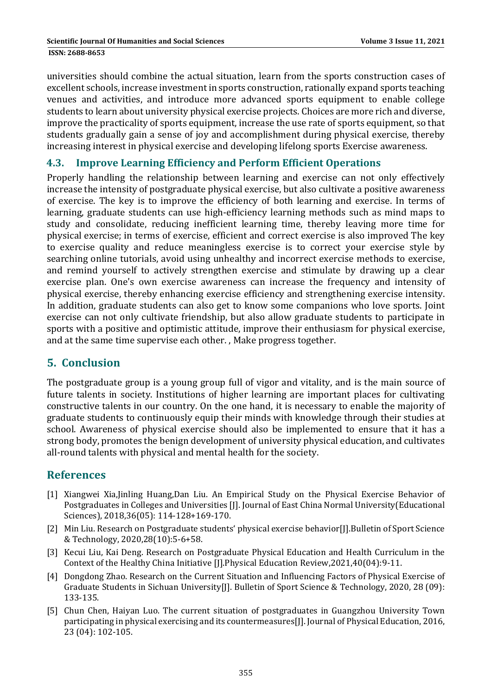universities should combine the actual situation, learn from the sports construction cases of excellent schools, increase investment in sports construction, rationally expand sports teaching venues and activities, and introduce more advanced sports equipment to enable college students to learn about university physical exercise projects. Choices are more rich and diverse, improve the practicality of sports equipment, increase the use rate of sports equipment, so that students gradually gain a sense of joy and accomplishment during physical exercise, thereby increasing interest in physical exercise and developing lifelong sports Exercise awareness.

#### **4.3. Improve Learning Efficiency and Perform Efficient Operations**

Properly handling the relationship between learning and exercise can not only effectively increase the intensity of postgraduate physical exercise, but also cultivate a positive awareness of exercise. The key is to improve the efficiency of both learning and exercise. In terms of learning, graduate students can use high-efficiency learning methods such as mind maps to study and consolidate, reducing inefficient learning time, thereby leaving more time for physical exercise; in terms of exercise, efficient and correct exercise is also improved The key to exercise quality and reduce meaningless exercise is to correct your exercise style by searching online tutorials, avoid using unhealthy and incorrect exercise methods to exercise, and remind yourself to actively strengthen exercise and stimulate by drawing up a clear exercise plan. One's own exercise awareness can increase the frequency and intensity of physical exercise, thereby enhancing exercise efficiency and strengthening exercise intensity. In addition, graduate students can also get to know some companions who love sports. Joint exercise can not only cultivate friendship, but also allow graduate students to participate in sports with a positive and optimistic attitude, improve their enthusiasm for physical exercise, and at the same time supervise each other. , Make progress together.

# **5. Conclusion**

The postgraduate group is a young group full of vigor and vitality, and is the main source of future talents in society. Institutions of higher learning are important places for cultivating constructive talents in our country. On the one hand, it is necessary to enable the majority of graduate students to continuously equip their minds with knowledge through their studies at school. Awareness of physical exercise should also be implemented to ensure that it has a strong body, promotes the benign development of university physical education, and cultivates all-round talents with physical and mental health for the society.

# **References**

- [1] Xiangwei Xia,Jinling Huang,Dan Liu. An Empirical Study on the Physical Exercise Behavior of Postgraduates in Colleges and Universities [J]. Journal of East China Normal University(Educational Sciences), 2018,36(05): 114-128+169-170.
- [2] Min Liu. Research on Postgraduate students' physical exercise behavior[J].Bulletin of Sport Science & Technology, 2020,28(10):5‐6+58.
- [3] Kecui Liu, Kai Deng. Research on Postgraduate Physical Education and Health Curriculum in the Context of the Healthy China Initiative [J].Physical Education Review,2021,40(04):9-11.
- [4] Dongdong Zhao. Research on the Current Situation and Influencing Factors of Physical Exercise of Graduate Students in Sichuan University[J]. Bulletin of Sport Science & Technology, 2020, 28 (09): 133‐135.
- [5] Chun Chen, Haiyan Luo. The current situation of postgraduates in Guangzhou University Town participating in physical exercising and its countermeasures [J]. Journal of Physical Education, 2016, 23 (04): 102‐105.